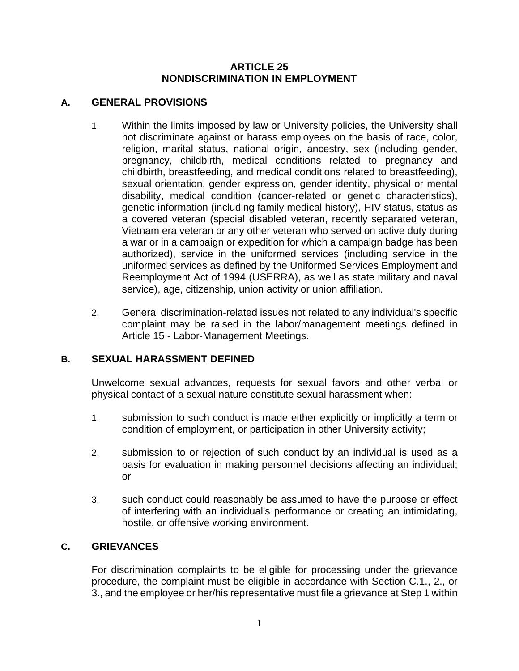#### **ARTICLE 25 NONDISCRIMINATION IN EMPLOYMENT**

# **A. GENERAL PROVISIONS**

- 1. Within the limits imposed by law or University policies, the University shall not discriminate against or harass employees on the basis of race, color, religion, marital status, national origin, ancestry, sex (including gender, pregnancy, childbirth, medical conditions related to pregnancy and childbirth, breastfeeding, and medical conditions related to breastfeeding), sexual orientation, gender expression, gender identity, physical or mental disability, medical condition (cancer-related or genetic characteristics), genetic information (including family medical history), HIV status, status as a covered veteran (special disabled veteran, recently separated veteran, Vietnam era veteran or any other veteran who served on active duty during a war or in a campaign or expedition for which a campaign badge has been authorized), service in the uniformed services (including service in the uniformed services as defined by the Uniformed Services Employment and Reemployment Act of 1994 (USERRA), as well as state military and naval service), age, citizenship, union activity or union affiliation.
- 2. General discrimination-related issues not related to any individual's specific complaint may be raised in the labor/management meetings defined in Article 15 - Labor-Management Meetings.

### **B. SEXUAL HARASSMENT DEFINED**

Unwelcome sexual advances, requests for sexual favors and other verbal or physical contact of a sexual nature constitute sexual harassment when:

- 1. submission to such conduct is made either explicitly or implicitly a term or condition of employment, or participation in other University activity;
- 2. submission to or rejection of such conduct by an individual is used as a basis for evaluation in making personnel decisions affecting an individual; or
- 3. such conduct could reasonably be assumed to have the purpose or effect of interfering with an individual's performance or creating an intimidating, hostile, or offensive working environment.

# **C. GRIEVANCES**

For discrimination complaints to be eligible for processing under the grievance procedure, the complaint must be eligible in accordance with Section C.1., 2., or 3., and the employee or her/his representative must file a grievance at Step 1 within